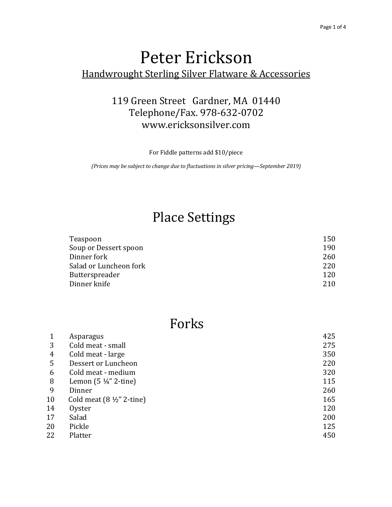## Peter Erickson Handwrought Sterling Silver Flatware & Accessories

#### 119 Green Street Gardner, MA 01440 Telephone/Fax. 978-632-0702 <www.ericksonsilver.com>

For Fiddle patterns add \$10/piece

*(Prices may be subject to change due to fluctuations in silver pricing—September 2019)*

#### Place Settings

| Teaspoon               | 150 |
|------------------------|-----|
| Soup or Dessert spoon  | 190 |
| Dinner fork            | 260 |
| Salad or Luncheon fork | 220 |
| Butterspreader         | 120 |
| Dinner knife           | 210 |

#### Forks

|    | Asparagus                            | 425 |
|----|--------------------------------------|-----|
| 3  | Cold meat - small                    | 275 |
| 4  | Cold meat - large                    | 350 |
| 5  | Dessert or Luncheon                  | 220 |
| 6  | Cold meat - medium                   | 320 |
| 8  | Lemon $(5 \frac{1}{4}$ " 2-tine)     | 115 |
| 9  | Dinner                               | 260 |
| 10 | Cold meat $(8 \frac{1}{2}$ " 2-tine) | 165 |
| 14 | Oyster                               | 120 |
| 17 | Salad                                | 200 |
| 20 | Pickle                               | 125 |
| 22 | Platter                              | 450 |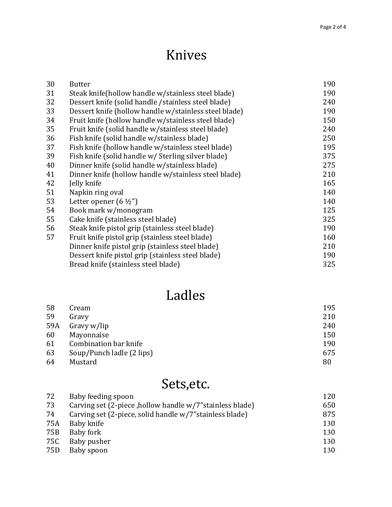## Knives

| 30 | <b>Butter</b>                                         | 190 |
|----|-------------------------------------------------------|-----|
| 31 | Steak knife(hollow handle w/stainless steel blade)    | 190 |
| 32 | Dessert knife (solid handle / stainless steel blade)  | 240 |
| 33 | Dessert knife (hollow handle w/stainless steel blade) | 190 |
| 34 | Fruit knife (hollow handle w/stainless steel blade)   | 150 |
| 35 | Fruit knife (solid handle w/stainless steel blade)    | 240 |
| 36 | Fish knife (solid handle w/stainless blade)           | 250 |
| 37 | Fish knife (hollow handle w/stainless steel blade)    | 195 |
| 39 | Fish knife (solid handle w/ Sterling silver blade)    | 375 |
| 40 | Dinner knife (solid handle w/stainless blade)         | 275 |
| 41 | Dinner knife (hollow handle w/stainless steel blade)  | 210 |
| 42 | Jelly knife                                           | 165 |
| 51 | Napkin ring oval                                      | 140 |
| 53 | Letter opener $(6 \frac{1}{2})$                       | 140 |
| 54 | Book mark w/monogram                                  | 125 |
| 55 | Cake knife (stainless steel blade)                    | 325 |
| 56 | Steak knife pistol grip (stainless steel blade)       | 190 |
| 57 | Fruit knife pistol grip (stainless steel blade)       | 160 |
|    | Dinner knife pistol grip (stainless steel blade)      | 210 |
|    | Dessert knife pistol grip (stainless steel blade)     | 190 |
|    | Bread knife (stainless steel blade)                   | 325 |
|    |                                                       |     |

## Ladles

| 58  | Cream                     | 195 |
|-----|---------------------------|-----|
| 59  | Gravy                     | 210 |
| 59A | Gravy w/lip               | 240 |
| 60  | Mayonnaise                | 150 |
| 61  | Combination bar knife     | 190 |
| 63  | Soup/Punch ladle (2 lips) | 675 |
| 64  | Mustard                   | 80  |

## Sets,etc.

| 72  | Baby feeding spoon                                        | 120 |
|-----|-----------------------------------------------------------|-----|
| 73  | Carving set (2-piece, hollow handle w/7" stainless blade) | 650 |
| 74  | Carving set (2-piece, solid handle w/7" stainless blade)  | 875 |
| 75A | Baby knife                                                | 130 |
| 75B | Baby fork                                                 | 130 |
| 75C | Baby pusher                                               | 130 |
| 75D | Baby spoon                                                | 130 |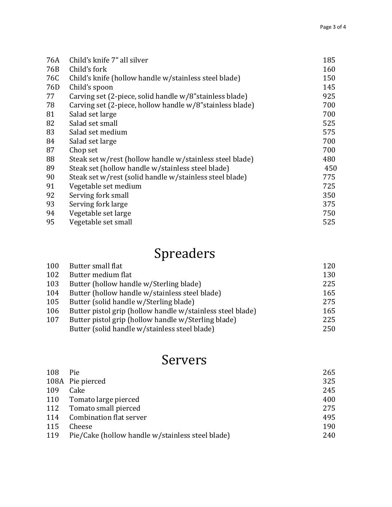| 76A             | Child's knife 7" all silver                               | 185 |
|-----------------|-----------------------------------------------------------|-----|
| 76B             | Child's fork                                              | 160 |
| 76C             | Child's knife (hollow handle w/stainless steel blade)     | 150 |
| 76 <sub>D</sub> | Child's spoon                                             | 145 |
| 77              | Carving set (2-piece, solid handle w/8" stainless blade)  | 925 |
| 78              | Carving set (2-piece, hollow handle w/8" stainless blade) | 700 |
| 81              | Salad set large                                           | 700 |
| 82              | Salad set small                                           | 525 |
| 83              | Salad set medium                                          | 575 |
| 84              | Salad set large                                           | 700 |
| 87              | Chop set                                                  | 700 |
| 88              | Steak set w/rest (hollow handle w/stainless steel blade)  | 480 |
| 89              | Steak set (hollow handle w/stainless steel blade)         | 450 |
| 90              | Steak set w/rest (solid handle w/stainless steel blade)   | 775 |
| 91              | Vegetable set medium                                      | 725 |
| 92              | Serving fork small                                        | 350 |
| 93              | Serving fork large                                        | 375 |
| 94              | Vegetable set large                                       | 750 |
| 95              | Vegetable set small                                       | 525 |

# Spreaders

| 100 | Butter small flat                                          | 120 |
|-----|------------------------------------------------------------|-----|
| 102 | Butter medium flat                                         | 130 |
| 103 | Butter (hollow handle w/Sterling blade)                    | 225 |
| 104 | Butter (hollow handle w/stainless steel blade)             | 165 |
| 105 | Butter (solid handle w/Sterling blade)                     | 275 |
| 106 | Butter pistol grip (hollow handle w/stainless steel blade) | 165 |
| 107 | Butter pistol grip (hollow handle w/Sterling blade)        | 225 |
|     | Butter (solid handle w/stainless steel blade)              | 250 |

## Servers

| 108 | Pie                                              | 265 |
|-----|--------------------------------------------------|-----|
|     | 108A Pie pierced                                 | 325 |
| 109 | Cake                                             | 245 |
| 110 | Tomato large pierced                             | 400 |
|     | 112 Tomato small pierced                         | 275 |
| 114 | Combination flat server                          | 495 |
| 115 | Cheese                                           | 190 |
| 119 | Pie/Cake (hollow handle w/stainless steel blade) | 240 |